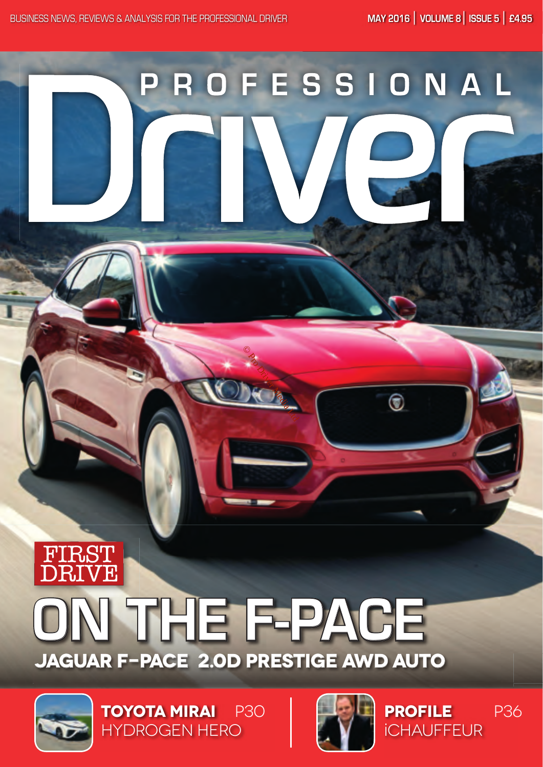# ROFESSIONAL  $\boldsymbol{\mathsf{p}}$

## THE F-PACE **JAGUAR F-PACE 2.0D PRESTIGE AWD AUTO**

OR DRIVER MEDICAL



**TOYOTA MIRAI** P30 HYDROGEN HERO



**PROFILE** iCHAUFFEUR P36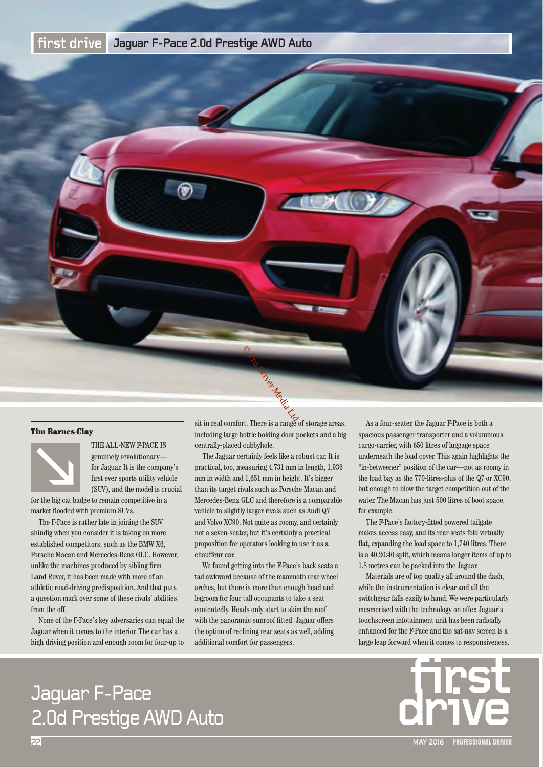#### **fi rst drive Jaguar F-Pace 2.0d Prestige AWD Auto**



#### Tim Barnes-Clay



THE ALL-NEW F-PACE IS<br>genuinely revolutionary—<br>for Jaguar. It is the compar<br>first ever sports utility vehi<br>(SUV), and the model is cri<br>for the big cat badge to remain competitive in a genuinely revolutionary for Jaguar. It is the company's first ever sports utility vehicle (SUV), and the model is crucial

market flooded with premium SUVs.

The F-Pace is rather late in joining the SUV shindig when you consider it is taking on more established competitors, such as the BMW X6, Porsche Macan and Mercedes-Benz GLC. However, unlike the machines produced by sibling firm Land Rover, it has been made with more of an athletic road-driving predisposition. And that puts a question mark over some of these rivals' abilities from the off.

None of the F-Pace's key adversaries can equal the Jaguar when it comes to the interior. The car has a high driving position and enough room for four-up to

sit in real comfort. There is a range of storage areas, including large bottle holding door pockets and a big centrally-placed cubbyhole.

The Jaguar certainly feels like a robust car. It is practical, too, measuring 4,731 mm in length, 1,936 mm in width and 1,651 mm in height. It's bigger than its target rivals such as Porsche Macan and Mercedes-Benz GLC and therefore is a comparable vehicle to slightly larger rivals such as Audi Q7 and Volvo XC90. Not quite as roomy, and certainly not a seven-seater, but it's certainly a practical proposition for operators looking to use it as a chauffeur car.

We found getting into the F-Pace's back seats a tad awkward because of the mammoth rear wheel arches, but there is more than enough head and legroom for four tall occupants to take a seat contentedly. Heads only start to skim the roof with the panoramic sunroof fitted. Jaguar offers the option of reclining rear seats as well, adding additional comfort for passengers.

As a four-seater, the Jaguar F-Pace is both a spacious passenger transporter and a voluminous cargo-carrier, with 650 litres of luggage space underneath the load cover. This again highlights the "in-betweener" position of the car—not as roomy in the load bay as the 770-litres-plus of the Q7 or XC90, but enough to blow the target competition out of the water. The Macan has just 500 litres of boot space, for example.

The F-Pace's factory-fitted powered tailgate makes access easy, and its rear seats fold virtually flat, expanding the load space to 1,740 litres. There is a 40:20:40 split, which means longer items of up to 1.8 metres can be packed into the Jaguar.

Materials are of top quality all around the dash, while the instrumentation is clear and all the switchgear falls easily to hand. We were particularly mesmerised with the technology on offer. Jaguar's touchscreen infotainment unit has been radically enhanced for the F-Pace and the sat-nav screen is a large leap forward when it comes to responsiveness.



# 2.0d Prestige AWD Auto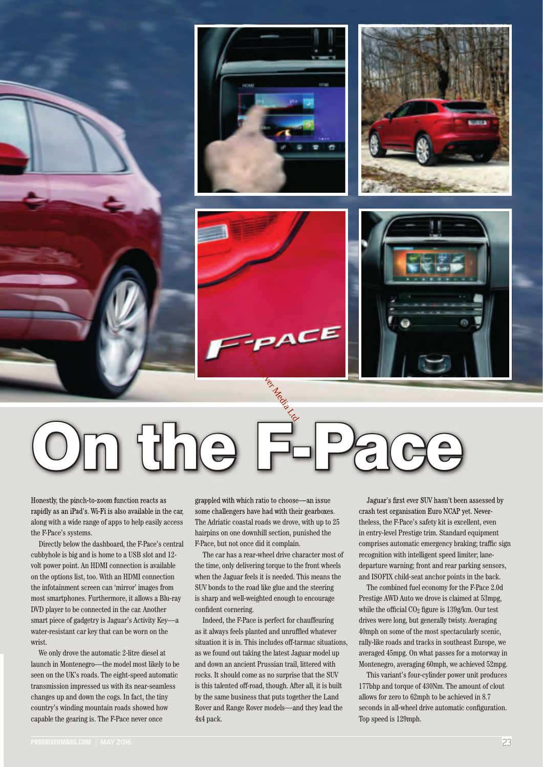

Francestly, the pinch-to-zoom function reacts as grappled with which ratio to choose—an issue Jaguar's first ever SUV hasn't been assessed by

Honestly, the pinch-to-zoom function reacts as rapidly as an iPad's. Wi-Fi is also available in the car, along with a wide range of apps to help easily access the F-Pace's systems.

Directly below the dashboard, the F-Pace's central cubbyhole is big and is home to a USB slot and 12 volt power point. An HDMI connection is available on the options list, too. With an HDMI connection the infotainment screen can 'mirror' images from most smartphones. Furthermore, it allows a Blu-ray DVD player to be connected in the car. Another smart piece of gadgetry is Jaguar's Activity Key—a water-resistant car key that can be worn on the wrist.

We only drove the automatic 2-litre diesel at launch in Montenegro—the model most likely to be seen on the UK's roads. The eight-speed automatic transmission impressed us with its near-seamless changes up and down the cogs. In fact, the tiny country's winding mountain roads showed how capable the gearing is. The F-Pace never once

grappled with which ratio to choose—an issue some challengers have had with their gearboxes. The Adriatic coastal roads we drove, with up to 25 hairpins on one downhill section, punished the F-Pace, but not once did it complain.

The car has a rear-wheel drive character most of the time, only delivering torque to the front wheels when the Jaguar feels it is needed. This means the SUV bonds to the road like glue and the steering is sharp and well-weighted enough to encourage confident cornering.

Indeed, the F-Pace is perfect for chauffeuring as it always feels planted and unruffled whatever situation it is in. This includes off-tarmac situations, as we found out taking the latest Jaguar model up and down an ancient Prussian trail, littered with rocks. It should come as no surprise that the SUV is this talented off-road, though. After all, it is built by the same business that puts together the Land Rover and Range Rover models—and they lead the 4x4 pack.

Jaguar's first ever SUV hasn't been assessed by crash test organisation Euro NCAP yet. Nevertheless, the F-Pace's safety kit is excellent, even in entry-level Prestige trim. Standard equipment comprises automatic emergency braking; traffic sign recognition with intelligent speed limiter; lanedeparture warning; front and rear parking sensors, and ISOFIX child-seat anchor points in the back.

The combined fuel economy for the F-Pace 2.0d Prestige AWD Auto we drove is claimed at 53mpg, while the official  $CO<sub>2</sub>$  figure is 139g/km. Our test drives were long, but generally twisty. Averaging 40mph on some of the most spectacularly scenic, rally-like roads and tracks in southeast Europe, we averaged 45mpg. On what passes for a motorway in Montenegro, averaging 60mph, we achieved 52mpg.

This variant's four-cylinder power unit produces 177bhp and torque of 430Nm. The amount of clout allows for zero to 62mph to be achieved in 8.7 seconds in all-wheel drive automatic configuration. Top speed is 129mph.